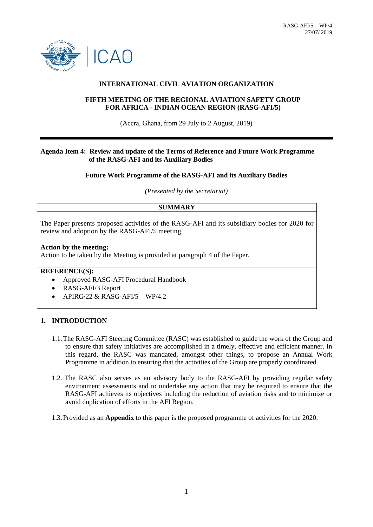

## **INTERNATIONAL CIVIL AVIATION ORGANIZATION**

### **FIFTH MEETING OF THE REGIONAL AVIATION SAFETY GROUP FOR AFRICA - INDIAN OCEAN REGION (RASG-AFI/5)**

(Accra, Ghana, from 29 July to 2 August, 2019)

## **Agenda Item 4: Review and update of the Terms of Reference and Future Work Programme of the RASG-AFI and its Auxiliary Bodies**

### **Future Work Programme of the RASG-AFI and its Auxiliary Bodies**

*(Presented by the Secretariat)*

## **SUMMARY**

The Paper presents proposed activities of the RASG-AFI and its subsidiary bodies for 2020 for review and adoption by the RASG-AFI/5 meeting.

#### **Action by the meeting:**

Action to be taken by the Meeting is provided at paragraph 4 of the Paper.

# **REFERENCE(S):**

- Approved RASG-AFI Procedural Handbook
- RASG-AFI/3 Report
- APIRG/22 & RASG-AFI/5 WP/4.2

### **1. INTRODUCTION**

- 1.1.The RASG-AFI Steering Committee (RASC) was established to guide the work of the Group and to ensure that safety initiatives are accomplished in a timely, effective and efficient manner. In this regard, the RASC was mandated, amongst other things, to propose an Annual Work Programme in addition to ensuring that the activities of the Group are properly coordinated.
- 1.2. The RASC also serves as an advisory body to the RASG-AFI by providing regular safety environment assessments and to undertake any action that may be required to ensure that the RASG-AFI achieves its objectives including the reduction of aviation risks and to minimize or avoid duplication of efforts in the AFI Region.
- 1.3.Provided as an **Appendix** to this paper is the proposed programme of activities for the 2020.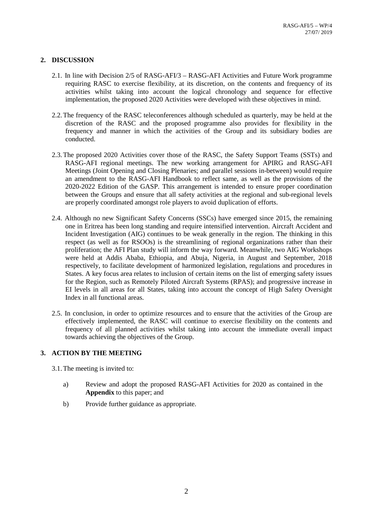# **2. DISCUSSION**

- 2.1. In line with Decision 2/5 of RASG-AFI/3 RASG-AFI Activities and Future Work programme requiring RASC to exercise flexibility, at its discretion, on the contents and frequency of its activities whilst taking into account the logical chronology and sequence for effective implementation, the proposed 2020 Activities were developed with these objectives in mind.
- 2.2.The frequency of the RASC teleconferences although scheduled as quarterly, may be held at the discretion of the RASC and the proposed programme also provides for flexibility in the frequency and manner in which the activities of the Group and its subsidiary bodies are conducted.
- 2.3.The proposed 2020 Activities cover those of the RASC, the Safety Support Teams (SSTs) and RASG-AFI regional meetings. The new working arrangement for APIRG and RASG-AFI Meetings (Joint Opening and Closing Plenaries; and parallel sessions in-between) would require an amendment to the RASG-AFI Handbook to reflect same, as well as the provisions of the 2020-2022 Edition of the GASP. This arrangement is intended to ensure proper coordination between the Groups and ensure that all safety activities at the regional and sub-regional levels are properly coordinated amongst role players to avoid duplication of efforts.
- 2.4. Although no new Significant Safety Concerns (SSCs) have emerged since 2015, the remaining one in Eritrea has been long standing and require intensified intervention. Aircraft Accident and Incident Investigation (AIG) continues to be weak generally in the region. The thinking in this respect (as well as for RSOOs) is the streamlining of regional organizations rather than their proliferation; the AFI Plan study will inform the way forward. Meanwhile, two AIG Workshops were held at Addis Ababa, Ethiopia, and Abuja, Nigeria, in August and September, 2018 respectively, to facilitate development of harmonized legislation, regulations and procedures in States. A key focus area relates to inclusion of certain items on the list of emerging safety issues for the Region, such as Remotely Piloted Aircraft Systems (RPAS); and progressive increase in EI levels in all areas for all States, taking into account the concept of High Safety Oversight Index in all functional areas.
- 2.5. In conclusion, in order to optimize resources and to ensure that the activities of the Group are effectively implemented, the RASC will continue to exercise flexibility on the contents and frequency of all planned activities whilst taking into account the immediate overall impact towards achieving the objectives of the Group.

## **3. ACTION BY THE MEETING**

- 3.1.The meeting is invited to:
	- a) Review and adopt the proposed RASG-AFI Activities for 2020 as contained in the **Appendix** to this paper; and
	- b) Provide further guidance as appropriate.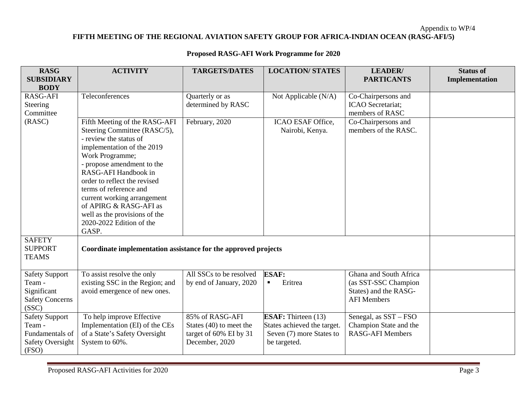# Appendix to WP/4 **FIFTH MEETING OF THE REGIONAL AVIATION SAFETY GROUP FOR AFRICA-INDIAN OCEAN (RASG-AFI/5)**

| <b>Proposed RASG-AFI Work Programme for 2020</b> |                        |                                       |                         |                                                                    |                                           |
|--------------------------------------------------|------------------------|---------------------------------------|-------------------------|--------------------------------------------------------------------|-------------------------------------------|
| <b>RASG</b><br><b>SUBSIDIARY</b><br><b>BODY</b>  | <b>ACTIVITY</b>        | <b>TARGETS/DATES</b>                  | <b>LOCATION/ STATES</b> | <b>LEADER</b><br><b>PARTICANTS</b>                                 | <b>Status of</b><br><b>Implementation</b> |
| RASG-AFI<br><b>Steering</b><br>Committee         | <b>Teleconferences</b> | Quarterly or as<br>determined by RASC | Not Applicable $(N/A)$  | Co-Chairpersons and<br><b>ICAO</b> Secretariat;<br>members of RASC |                                           |

| determined by RASC<br><b>ICAO</b> Secretariat:<br>Steering<br>members of RASC<br>Committee<br>(RASC)<br>Fifth Meeting of the RASG-AFI<br>Co-Chairpersons and<br>February, 2020<br>ICAO ESAF Office,<br>Steering Committee (RASC/5),<br>members of the RASC.<br>Nairobi, Kenya.<br>- review the status of<br>implementation of the 2019<br>Work Programme;<br>- propose amendment to the<br>RASG-AFI Handbook in<br>order to reflect the revised<br>terms of reference and<br>current working arrangement<br>of APIRG & RASG-AFI as<br>well as the provisions of the<br>2020-2022 Edition of the<br>GASP.<br><b>SAFETY</b><br><b>SUPPORT</b><br>Coordinate implementation assistance for the approved projects<br><b>TEAMS</b><br>All SSCs to be resolved<br><b>ESAF:</b><br>Ghana and South Africa<br>To assist resolve the only<br><b>Safety Support</b><br>existing SSC in the Region; and<br>Team -<br>by end of January, 2020<br>Eritrea<br>(as SST-SSC Champion<br>Significant<br>avoid emergence of new ones.<br>States) and the RASG-<br><b>Safety Concerns</b><br><b>AFI</b> Members<br>(SSC)<br>To help improve Effective<br>85% of RASG-AFI<br><b>ESAF:</b> Thirteen (13)<br>Senegal, as SST – FSO<br><b>Safety Support</b><br>Implementation (EI) of the CEs<br>States achieved the target.<br>Champion State and the<br>Team -<br>States $(40)$ to meet the<br>of a State's Safety Oversight<br><b>RASG-AFI Members</b><br>Fundamentals of<br>target of 60% EI by 31<br>Seven (7) more States to<br><b>Safety Oversight</b><br>System to 60%.<br>December, 2020<br>be targeted. | <b>RASG-AFI</b> | Teleconferences | Quarterly or as | Not Applicable (N/A) | Co-Chairpersons and |  |
|---------------------------------------------------------------------------------------------------------------------------------------------------------------------------------------------------------------------------------------------------------------------------------------------------------------------------------------------------------------------------------------------------------------------------------------------------------------------------------------------------------------------------------------------------------------------------------------------------------------------------------------------------------------------------------------------------------------------------------------------------------------------------------------------------------------------------------------------------------------------------------------------------------------------------------------------------------------------------------------------------------------------------------------------------------------------------------------------------------------------------------------------------------------------------------------------------------------------------------------------------------------------------------------------------------------------------------------------------------------------------------------------------------------------------------------------------------------------------------------------------------------------------------------------------------------------------------------------|-----------------|-----------------|-----------------|----------------------|---------------------|--|
|                                                                                                                                                                                                                                                                                                                                                                                                                                                                                                                                                                                                                                                                                                                                                                                                                                                                                                                                                                                                                                                                                                                                                                                                                                                                                                                                                                                                                                                                                                                                                                                             |                 |                 |                 |                      |                     |  |
|                                                                                                                                                                                                                                                                                                                                                                                                                                                                                                                                                                                                                                                                                                                                                                                                                                                                                                                                                                                                                                                                                                                                                                                                                                                                                                                                                                                                                                                                                                                                                                                             |                 |                 |                 |                      |                     |  |
|                                                                                                                                                                                                                                                                                                                                                                                                                                                                                                                                                                                                                                                                                                                                                                                                                                                                                                                                                                                                                                                                                                                                                                                                                                                                                                                                                                                                                                                                                                                                                                                             |                 |                 |                 |                      |                     |  |
|                                                                                                                                                                                                                                                                                                                                                                                                                                                                                                                                                                                                                                                                                                                                                                                                                                                                                                                                                                                                                                                                                                                                                                                                                                                                                                                                                                                                                                                                                                                                                                                             |                 |                 |                 |                      |                     |  |
|                                                                                                                                                                                                                                                                                                                                                                                                                                                                                                                                                                                                                                                                                                                                                                                                                                                                                                                                                                                                                                                                                                                                                                                                                                                                                                                                                                                                                                                                                                                                                                                             |                 |                 |                 |                      |                     |  |
|                                                                                                                                                                                                                                                                                                                                                                                                                                                                                                                                                                                                                                                                                                                                                                                                                                                                                                                                                                                                                                                                                                                                                                                                                                                                                                                                                                                                                                                                                                                                                                                             |                 |                 |                 |                      |                     |  |
|                                                                                                                                                                                                                                                                                                                                                                                                                                                                                                                                                                                                                                                                                                                                                                                                                                                                                                                                                                                                                                                                                                                                                                                                                                                                                                                                                                                                                                                                                                                                                                                             |                 |                 |                 |                      |                     |  |
|                                                                                                                                                                                                                                                                                                                                                                                                                                                                                                                                                                                                                                                                                                                                                                                                                                                                                                                                                                                                                                                                                                                                                                                                                                                                                                                                                                                                                                                                                                                                                                                             |                 |                 |                 |                      |                     |  |
|                                                                                                                                                                                                                                                                                                                                                                                                                                                                                                                                                                                                                                                                                                                                                                                                                                                                                                                                                                                                                                                                                                                                                                                                                                                                                                                                                                                                                                                                                                                                                                                             |                 |                 |                 |                      |                     |  |
|                                                                                                                                                                                                                                                                                                                                                                                                                                                                                                                                                                                                                                                                                                                                                                                                                                                                                                                                                                                                                                                                                                                                                                                                                                                                                                                                                                                                                                                                                                                                                                                             |                 |                 |                 |                      |                     |  |
|                                                                                                                                                                                                                                                                                                                                                                                                                                                                                                                                                                                                                                                                                                                                                                                                                                                                                                                                                                                                                                                                                                                                                                                                                                                                                                                                                                                                                                                                                                                                                                                             |                 |                 |                 |                      |                     |  |
|                                                                                                                                                                                                                                                                                                                                                                                                                                                                                                                                                                                                                                                                                                                                                                                                                                                                                                                                                                                                                                                                                                                                                                                                                                                                                                                                                                                                                                                                                                                                                                                             |                 |                 |                 |                      |                     |  |
|                                                                                                                                                                                                                                                                                                                                                                                                                                                                                                                                                                                                                                                                                                                                                                                                                                                                                                                                                                                                                                                                                                                                                                                                                                                                                                                                                                                                                                                                                                                                                                                             |                 |                 |                 |                      |                     |  |
|                                                                                                                                                                                                                                                                                                                                                                                                                                                                                                                                                                                                                                                                                                                                                                                                                                                                                                                                                                                                                                                                                                                                                                                                                                                                                                                                                                                                                                                                                                                                                                                             |                 |                 |                 |                      |                     |  |
|                                                                                                                                                                                                                                                                                                                                                                                                                                                                                                                                                                                                                                                                                                                                                                                                                                                                                                                                                                                                                                                                                                                                                                                                                                                                                                                                                                                                                                                                                                                                                                                             |                 |                 |                 |                      |                     |  |
|                                                                                                                                                                                                                                                                                                                                                                                                                                                                                                                                                                                                                                                                                                                                                                                                                                                                                                                                                                                                                                                                                                                                                                                                                                                                                                                                                                                                                                                                                                                                                                                             |                 |                 |                 |                      |                     |  |
|                                                                                                                                                                                                                                                                                                                                                                                                                                                                                                                                                                                                                                                                                                                                                                                                                                                                                                                                                                                                                                                                                                                                                                                                                                                                                                                                                                                                                                                                                                                                                                                             |                 |                 |                 |                      |                     |  |
|                                                                                                                                                                                                                                                                                                                                                                                                                                                                                                                                                                                                                                                                                                                                                                                                                                                                                                                                                                                                                                                                                                                                                                                                                                                                                                                                                                                                                                                                                                                                                                                             |                 |                 |                 |                      |                     |  |
|                                                                                                                                                                                                                                                                                                                                                                                                                                                                                                                                                                                                                                                                                                                                                                                                                                                                                                                                                                                                                                                                                                                                                                                                                                                                                                                                                                                                                                                                                                                                                                                             |                 |                 |                 |                      |                     |  |
|                                                                                                                                                                                                                                                                                                                                                                                                                                                                                                                                                                                                                                                                                                                                                                                                                                                                                                                                                                                                                                                                                                                                                                                                                                                                                                                                                                                                                                                                                                                                                                                             |                 |                 |                 |                      |                     |  |
|                                                                                                                                                                                                                                                                                                                                                                                                                                                                                                                                                                                                                                                                                                                                                                                                                                                                                                                                                                                                                                                                                                                                                                                                                                                                                                                                                                                                                                                                                                                                                                                             |                 |                 |                 |                      |                     |  |
|                                                                                                                                                                                                                                                                                                                                                                                                                                                                                                                                                                                                                                                                                                                                                                                                                                                                                                                                                                                                                                                                                                                                                                                                                                                                                                                                                                                                                                                                                                                                                                                             |                 |                 |                 |                      |                     |  |
|                                                                                                                                                                                                                                                                                                                                                                                                                                                                                                                                                                                                                                                                                                                                                                                                                                                                                                                                                                                                                                                                                                                                                                                                                                                                                                                                                                                                                                                                                                                                                                                             |                 |                 |                 |                      |                     |  |
|                                                                                                                                                                                                                                                                                                                                                                                                                                                                                                                                                                                                                                                                                                                                                                                                                                                                                                                                                                                                                                                                                                                                                                                                                                                                                                                                                                                                                                                                                                                                                                                             |                 |                 |                 |                      |                     |  |
|                                                                                                                                                                                                                                                                                                                                                                                                                                                                                                                                                                                                                                                                                                                                                                                                                                                                                                                                                                                                                                                                                                                                                                                                                                                                                                                                                                                                                                                                                                                                                                                             |                 |                 |                 |                      |                     |  |
|                                                                                                                                                                                                                                                                                                                                                                                                                                                                                                                                                                                                                                                                                                                                                                                                                                                                                                                                                                                                                                                                                                                                                                                                                                                                                                                                                                                                                                                                                                                                                                                             |                 |                 |                 |                      |                     |  |
|                                                                                                                                                                                                                                                                                                                                                                                                                                                                                                                                                                                                                                                                                                                                                                                                                                                                                                                                                                                                                                                                                                                                                                                                                                                                                                                                                                                                                                                                                                                                                                                             |                 |                 |                 |                      |                     |  |
|                                                                                                                                                                                                                                                                                                                                                                                                                                                                                                                                                                                                                                                                                                                                                                                                                                                                                                                                                                                                                                                                                                                                                                                                                                                                                                                                                                                                                                                                                                                                                                                             |                 |                 |                 |                      |                     |  |
|                                                                                                                                                                                                                                                                                                                                                                                                                                                                                                                                                                                                                                                                                                                                                                                                                                                                                                                                                                                                                                                                                                                                                                                                                                                                                                                                                                                                                                                                                                                                                                                             |                 |                 |                 |                      |                     |  |
|                                                                                                                                                                                                                                                                                                                                                                                                                                                                                                                                                                                                                                                                                                                                                                                                                                                                                                                                                                                                                                                                                                                                                                                                                                                                                                                                                                                                                                                                                                                                                                                             | (FSO)           |                 |                 |                      |                     |  |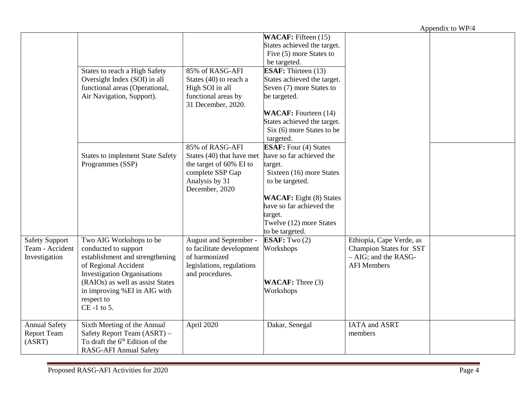Appendix to WP/4

|                       |                                                         |                                            |                                 |                                               | $1$ appointment to $1111$ |
|-----------------------|---------------------------------------------------------|--------------------------------------------|---------------------------------|-----------------------------------------------|---------------------------|
|                       |                                                         |                                            | <b>WACAF</b> : Fifteen (15)     |                                               |                           |
|                       |                                                         |                                            | States achieved the target.     |                                               |                           |
|                       |                                                         |                                            | Five (5) more States to         |                                               |                           |
|                       |                                                         |                                            | be targeted.                    |                                               |                           |
|                       | States to reach a High Safety                           | 85% of RASG-AFI                            | <b>ESAF:</b> Thirteen (13)      |                                               |                           |
|                       | Oversight Index (SOI) in all                            | States (40) to reach a                     | States achieved the target.     |                                               |                           |
|                       | functional areas (Operational,                          | High SOI in all                            | Seven (7) more States to        |                                               |                           |
|                       | Air Navigation, Support).                               | functional areas by<br>31 December, 2020.  | be targeted.                    |                                               |                           |
|                       |                                                         |                                            | <b>WACAF:</b> Fourteen (14)     |                                               |                           |
|                       |                                                         |                                            | States achieved the target.     |                                               |                           |
|                       |                                                         |                                            | Six (6) more States to be       |                                               |                           |
|                       |                                                         |                                            | targeted.                       |                                               |                           |
|                       |                                                         | 85% of RASG-AFI                            | <b>ESAF:</b> Four (4) States    |                                               |                           |
|                       | <b>States to implement State Safety</b>                 | States (40) that have met                  | have so far achieved the        |                                               |                           |
|                       | Programmes (SSP)                                        | the target of 60% EI to                    | target.                         |                                               |                           |
|                       |                                                         | complete SSP Gap                           | Sixteen (16) more States        |                                               |                           |
|                       |                                                         | Analysis by 31                             | to be targeted.                 |                                               |                           |
|                       |                                                         | December, 2020                             |                                 |                                               |                           |
|                       |                                                         |                                            | <b>WACAF</b> : Eight (8) States |                                               |                           |
|                       |                                                         |                                            | have so far achieved the        |                                               |                           |
|                       |                                                         |                                            | target.                         |                                               |                           |
|                       |                                                         |                                            | Twelve (12) more States         |                                               |                           |
|                       |                                                         |                                            | to be targeted.                 |                                               |                           |
| <b>Safety Support</b> | Two AIG Workshops to be                                 | August and September -                     | ESAF: Two $(2)$                 | Ethiopia, Cape Verde, as                      |                           |
| Team - Accident       | conducted to support                                    | to facilitate development                  | Workshops                       | <b>Champion States for SST</b>                |                           |
| Investigation         | establishment and strengthening<br>of Regional Accident | of harmonized<br>legislations, regulations |                                 | $- AIG$ ; and the RASG-<br><b>AFI Members</b> |                           |
|                       | <b>Investigation Organisations</b>                      | and procedures.                            |                                 |                                               |                           |
|                       | (RAIOs) as well as assist States                        |                                            | <b>WACAF:</b> Three (3)         |                                               |                           |
|                       | in improving %EI in AIG with                            |                                            | Workshops                       |                                               |                           |
|                       | respect to                                              |                                            |                                 |                                               |                           |
|                       | $CE - 1$ to 5.                                          |                                            |                                 |                                               |                           |
|                       |                                                         |                                            |                                 |                                               |                           |
| <b>Annual Safety</b>  | Sixth Meeting of the Annual                             | April 2020                                 | Dakar, Senegal                  | IATA and ASRT                                 |                           |
| Report Team           | Safety Report Team (ASRT) -                             |                                            |                                 | members                                       |                           |
| (ASRT)                | To draft the 6 <sup>th</sup> Edition of the             |                                            |                                 |                                               |                           |
|                       | <b>RASG-AFI Annual Safety</b>                           |                                            |                                 |                                               |                           |